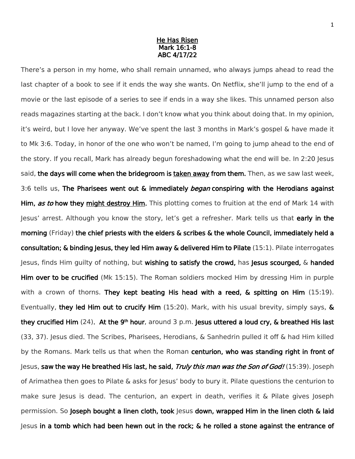## He Has Risen Mark 16:1-8 ABC 4/17/22

There's a person in my home, who shall remain unnamed, who always jumps ahead to read the last chapter of a book to see if it ends the way she wants. On Netflix, she'll jump to the end of a movie or the last episode of a series to see if ends in a way she likes. This unnamed person also reads magazines starting at the back. I don't know what you think about doing that. In my opinion, it's weird, but I love her anyway. We've spent the last 3 months in Mark's gospel & have made it to Mk 3:6. Today, in honor of the one who won't be named, I'm going to jump ahead to the end of the story. If you recall, Mark has already begun foreshadowing what the end will be. In 2:20 Jesus said, the days will come when the bridegroom is taken away from them. Then, as we saw last week, 3:6 tells us, The Pharisees went out & immediately *began* conspiring with the Herodians against Him, as to how they might destroy Him. This plotting comes to fruition at the end of Mark 14 with Jesus' arrest. Although you know the story, let's get a refresher. Mark tells us that early in the morning (Friday) the chief priests with the elders & scribes & the whole Council, immediately held a consultation; & binding Jesus, they led Him away & delivered Him to Pilate  $(15:1)$ . Pilate interrogates Jesus, finds Him guilty of nothing, but wishing to satisfy the crowd, has Jesus scourged, & handed Him over to be crucified (Mk 15:15). The Roman soldiers mocked Him by dressing Him in purple with a crown of thorns. They kept beating His head with a reed, & spitting on Him (15:19). Eventually, they led Him out to crucify Him  $(15:20)$ . Mark, with his usual brevity, simply says,  $\&$ they crucified Him (24). At the 9<sup>th</sup> hour, around 3 p.m. Jesus uttered a loud cry, & breathed His last (33, 37). Jesus died. The Scribes, Pharisees, Herodians, & Sanhedrin pulled it off & had Him killed by the Romans. Mark tells us that when the Roman centurion, who was standing right in front of Jesus, saw the way He breathed His last, he said, Truly this man was the Son of God! (15:39). Joseph of Arimathea then goes to Pilate & asks for Jesus' body to bury it. Pilate questions the centurion to make sure Jesus is dead. The centurion, an expert in death, verifies it & Pilate gives Joseph permission. So Joseph bought a linen cloth, took Jesus down, wrapped Him in the linen cloth & laid Jesus in a tomb which had been hewn out in the rock; & he rolled a stone against the entrance of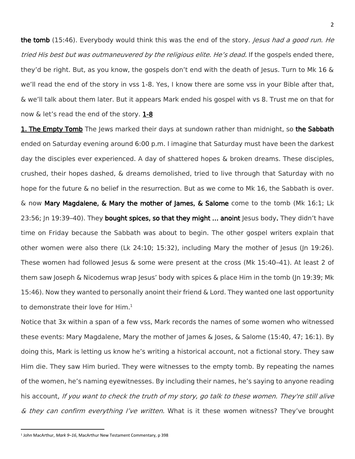the tomb (15:46). Everybody would think this was the end of the story. Jesus had a good run. He tried His best but was outmaneuvered by the religious elite. He's dead. If the gospels ended there, they'd be right. But, as you know, the gospels don't end with the death of Jesus. Turn to Mk 16 & we'll read the end of the story in vss 1-8. Yes, I know there are some vss in your Bible after that, & we'll talk about them later. But it appears Mark ended his gospel with vs 8. Trust me on that for now & let's read the end of the story. 1-8

1. The Empty Tomb The Jews marked their days at sundown rather than midnight, so the Sabbath ended on Saturday evening around 6:00 p.m. I imagine that Saturday must have been the darkest day the disciples ever experienced. A day of shattered hopes & broken dreams. These disciples, crushed, their hopes dashed, & dreams demolished, tried to live through that Saturday with no hope for the future & no belief in the resurrection. But as we come to Mk 16, the Sabbath is over. & now Mary Magdalene, & Mary the mother of James, & Salome come to the tomb (Mk 16:1; Lk 23:56; Jn 19:39-40). They bought spices, so that they might ... anoint Jesus body. They didn't have time on Friday because the Sabbath was about to begin. The other gospel writers explain that other women were also there (Lk 24:10; 15:32), including Mary the mother of Jesus (Jn 19:26). These women had followed Jesus & some were present at the cross (Mk 15:40–41). At least 2 of them saw Joseph & Nicodemus wrap Jesus' body with spices & place Him in the tomb (Jn 19:39; Mk 15:46). Now they wanted to personally anoint their friend & Lord. They wanted one last opportunity to demonstrate their love for Him.<sup>1</sup>

Notice that 3x within a span of a few vss, Mark records the names of some women who witnessed these events: Mary Magdalene, Mary the mother of James & Joses, & Salome (15:40, 47; 16:1). By doing this, Mark is letting us know he's writing a historical account, not a fictional story. They saw Him die. They saw Him buried. They were witnesses to the empty tomb. By repeating the names of the women, he's naming eyewitnesses. By including their names, he's saying to anyone reading his account, If you want to check the truth of my story, go talk to these women. They're still alive & they can confirm everything I've written. What is it these women witness? They've brought

<sup>1</sup> John MacArthur, *Mark 9–16*, MacArthur New Testament Commentary, p 398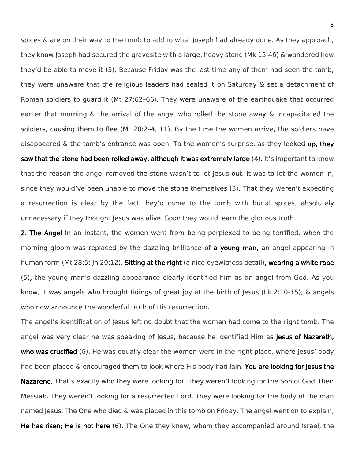spices & are on their way to the tomb to add to what Joseph had already done. As they approach, they know Joseph had secured the gravesite with a large, heavy stone (Mk 15:46) & wondered how they'd be able to move it (3). Because Friday was the last time any of them had seen the tomb, they were unaware that the religious leaders had sealed it on Saturday & set a detachment of Roman soldiers to guard it (Mt 27:62–66). They were unaware of the earthquake that occurred earlier that morning & the arrival of the angel who rolled the stone away & incapacitated the soldiers, causing them to flee (Mt 28:2–4, 11). By the time the women arrive, the soldiers have disappeared  $\&$  the tomb's entrance was open. To the women's surprise, as they looked up, they saw that the stone had been rolled away, although it was extremely large (4). It's important to know that the reason the angel removed the stone wasn't to let Jesus out. It was to let the women in, since they would've been unable to move the stone themselves (3). That they weren't expecting a resurrection is clear by the fact they'd come to the tomb with burial spices, absolutely unnecessary if they thought Jesus was alive. Soon they would learn the glorious truth.

2. The Angel In an instant, the women went from being perplexed to being terrified, when the morning gloom was replaced by the dazzling brilliance of a young man, an angel appearing in human form (Mt 28:5; In 20:12). Sitting at the right (a nice eyewitness detail), wearing a white robe (5), the young man's dazzling appearance clearly identified him as an angel from God. As you know, it was angels who brought tidings of great joy at the birth of Jesus (Lk 2:10-15); & angels who now announce the wonderful truth of His resurrection.

The angel's identification of Jesus left no doubt that the women had come to the right tomb. The angel was very clear he was speaking of Jesus, because he identified Him as Jesus of Nazareth, who was crucified (6). He was equally clear the women were in the right place, where Jesus' body had been placed & encouraged them to look where His body had lain. You are looking for Jesus the Nazarene. That's exactly who they were looking for. They weren't looking for the Son of God, their Messiah. They weren't looking for a resurrected Lord. They were looking for the body of the man named Jesus. The One who died & was placed in this tomb on Friday. The angel went on to explain, He has risen; He is not here (6). The One they knew, whom they accompanied around Israel, the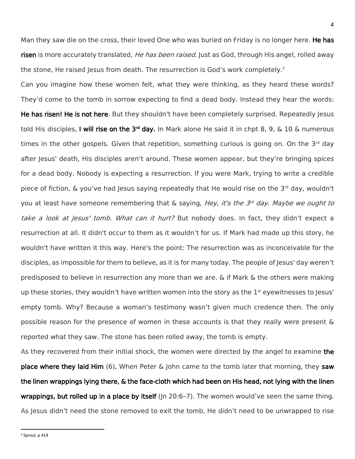Man they saw die on the cross, their loved One who was buried on Friday is no longer here. He has risen is more accurately translated, *He has been raised*. Just as God, through His angel, rolled away the stone, He raised Jesus from death. The resurrection is God's work completely.<sup>2</sup>

Can you imagine how these women felt, what they were thinking, as they heard these words? They'd come to the tomb in sorrow expecting to find a dead body. Instead they hear the words: He has risen! He is not here. But they shouldn't have been completely surprised. Repeatedly lesus told His disciples, I will rise on the 3<sup>rd</sup> day. In Mark alone He said it in chpt 8, 9, & 10 & numerous times in the other gospels. Given that repetition, something curious is going on. On the  $3<sup>rd</sup>$  day after Jesus' death, His disciples aren't around. These women appear, but they're bringing spices for a dead body. Nobody is expecting a resurrection. If you were Mark, trying to write a credible piece of fiction, & you've had Jesus saying repeatedly that He would rise on the 3<sup>rd</sup> day, wouldn't you at least have someone remembering that & saying, Hey, it's the 3<sup>rd</sup> day. Maybe we ought to take a look at Jesus' tomb. What can it hurt? But nobody does. In fact, they didn't expect a resurrection at all. It didn't occur to them as it wouldn't for us. If Mark had made up this story, he wouldn't have written it this way. Here's the point: The resurrection was as inconceivable for the disciples, as impossible for them to believe, as it is for many today. The people of Jesus' day weren't predisposed to believe in resurrection any more than we are. & if Mark & the others were making up these stories, they wouldn't have written women into the story as the  $1<sup>st</sup>$  eyewitnesses to Jesus' empty tomb. Why? Because a woman's testimony wasn't given much credence then. The only possible reason for the presence of women in these accounts is that they really were present & reported what they saw. The stone has been rolled away, the tomb is empty.

As they recovered from their initial shock, the women were directed by the angel to examine the place where they laid Him  $(6)$ . When Peter & John came to the tomb later that morning, they saw the linen wrappings lying there, & the face-cloth which had been on His head, not lying with the linen **wrappings, but rolled up in a place by itself** ( $\ln 20:6-7$ ). The women would've seen the same thing. As Jesus didn't need the stone removed to exit the tomb, He didn't need to be unwrapped to rise

<sup>2</sup> Sproul, p 414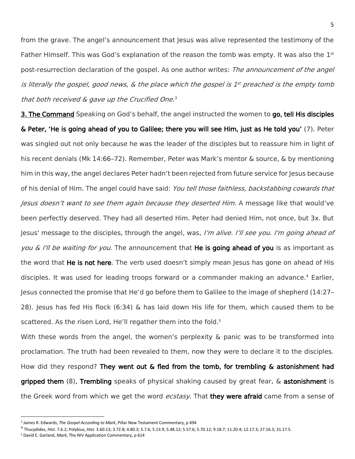from the grave. The angel's announcement that lesus was alive represented the testimony of the Father Himself. This was God's explanation of the reason the tomb was empty. It was also the  $1<sup>st</sup>$ post-resurrection declaration of the gospel. As one author writes: *The announcement of the angel* is literally the gospel, good news,  $\&$  the place which the gospel is 1st preached is the empty tomb that both received & gave up the Crucified One.<sup>3</sup>

3. The Command Speaking on God's behalf, the angel instructed the women to go, tell His disciples & Peter, 'He is going ahead of you to Galilee; there you will see Him, just as He told you' (7). Peter was singled out not only because he was the leader of the disciples but to reassure him in light of his recent denials (Mk 14:66–72). Remember, Peter was Mark's mentor & source, & by mentioning him in this way, the angel declares Peter hadn't been rejected from future service for Jesus because of his denial of Him. The angel could have said: You tell those faithless, backstabbing cowards that Jesus doesn't want to see them again because they deserted Him. A message like that would've been perfectly deserved. They had all deserted Him. Peter had denied Him, not once, but 3x. But Jesus' message to the disciples, through the angel, was, I'm alive. I'll see you. I'm going ahead of you & I'll be waiting for you. The announcement that He is going ahead of you is as important as the word that **He is not here**. The verb used doesn't simply mean Jesus has gone on ahead of His disciples. It was used for leading troops forward or a commander making an advance.<sup>4</sup> Earlier, Jesus connected the promise that He'd go before them to Galilee to the image of shepherd (14:27– 28). Jesus has fed His flock (6:34) & has laid down His life for them, which caused them to be scattered. As the risen Lord, He'll regather them into the fold.<sup>5</sup>

With these words from the angel, the women's perplexity & panic was to be transformed into proclamation. The truth had been revealed to them, now they were to declare it to the disciples. How did they respond? They went out & fled from the tomb, for trembling & astonishment had gripped them (8). Trembling speaks of physical shaking caused by great fear, & astonishment is the Greek word from which we get the word *ecstasy*. That **they were afraid** came from a sense of

 $\overline{\phantom{a}}$ 

<sup>3</sup> James R. Edwards, *The Gospel According to Mark*, Pillar New Testament Commentary, p 494

<sup>4</sup> Thucydides, *Hist.* 7.6.2; Polybius, *Hist.* 3.60.13; 3.72.8; 4.80.3; 5.7.6; 5.13.9; 5.48.12; 5.57.6; 5.70.12; 9.18.7; 11.20.4; 12.17.3; 27.16.3; 31.17.5.

<sup>5</sup> David E. Garland, *Mark*, The NIV Application Commentary, p 614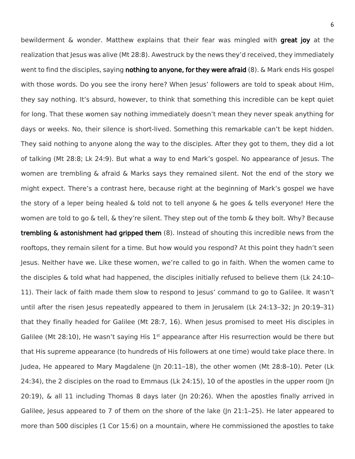bewilderment & wonder. Matthew explains that their fear was mingled with **great joy** at the realization that Jesus was alive (Mt 28:8). Awestruck by the news they'd received, they immediately went to find the disciples, saying **nothing to anyone, for they were afraid** (8). & Mark ends His gospel with those words. Do you see the irony here? When Jesus' followers are told to speak about Him, they say nothing. It's absurd, however, to think that something this incredible can be kept quiet for long. That these women say nothing immediately doesn't mean they never speak anything for days or weeks. No, their silence is short-lived. Something this remarkable can't be kept hidden. They said nothing to anyone along the way to the disciples. After they got to them, they did a lot of talking (Mt 28:8; Lk 24:9). But what a way to end Mark's gospel. No appearance of Jesus. The women are trembling & afraid & Marks says they remained silent. Not the end of the story we might expect. There's a contrast here, because right at the beginning of Mark's gospel we have the story of a leper being healed & told not to tell anyone & he goes & tells everyone! Here the women are told to go & tell, & they're silent. They step out of the tomb & they bolt. Why? Because trembling & astonishment had gripped them (8). Instead of shouting this incredible news from the rooftops, they remain silent for a time. But how would you respond? At this point they hadn't seen Jesus. Neither have we. Like these women, we're called to go in faith. When the women came to the disciples & told what had happened, the disciples initially refused to believe them (Lk 24:10– 11). Their lack of faith made them slow to respond to Jesus' command to go to Galilee. It wasn't until after the risen Jesus repeatedly appeared to them in Jerusalem (Lk 24:13-32; Jn 20:19-31) that they finally headed for Galilee (Mt 28:7, 16). When Jesus promised to meet His disciples in Galilee (Mt 28:10), He wasn't saying His  $1<sup>st</sup>$  appearance after His resurrection would be there but that His supreme appearance (to hundreds of His followers at one time) would take place there. In Judea, He appeared to Mary Magdalene (Jn 20:11–18), the other women (Mt 28:8–10). Peter (Lk 24:34), the 2 disciples on the road to Emmaus (Lk 24:15), 10 of the apostles in the upper room (Jn 20:19), & all 11 including Thomas 8 days later (Jn 20:26). When the apostles finally arrived in Galilee, Jesus appeared to 7 of them on the shore of the lake (Jn 21:1–25). He later appeared to more than 500 disciples (1 Cor 15:6) on a mountain, where He commissioned the apostles to take

6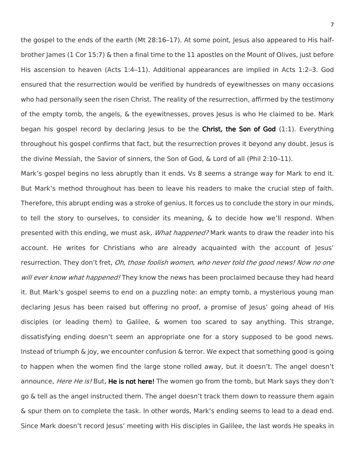the gospel to the ends of the earth (Mt 28:16–17). At some point, Jesus also appeared to His halfbrother James (1 Cor 15:7) & then a final time to the 11 apostles on the Mount of Olives, just before His ascension to heaven (Acts 1:4–11). Additional appearances are implied in Acts 1:2–3. God ensured that the resurrection would be verified by hundreds of eyewitnesses on many occasions who had personally seen the risen Christ. The reality of the resurrection, affirmed by the testimony of the empty tomb, the angels, & the eyewitnesses, proves Jesus is who He claimed to be. Mark began his gospel record by declaring Jesus to be the Christ, the Son of God  $(1:1)$ . Everything throughout his gospel confirms that fact, but the resurrection proves it beyond any doubt. Jesus is the divine Messiah, the Savior of sinners, the Son of God, & Lord of all (Phil 2:10–11).

Mark's gospel begins no less abruptly than it ends. Vs 8 seems a strange way for Mark to end it. But Mark's method throughout has been to leave his readers to make the crucial step of faith. Therefore, this abrupt ending was a stroke of genius. It forces us to conclude the story in our minds, to tell the story to ourselves, to consider its meaning, & to decide how we'll respond. When presented with this ending, we must ask, *What happened?* Mark wants to draw the reader into his account. He writes for Christians who are already acquainted with the account of Jesus' resurrection. They don't fret, *Oh, those foolish women, who never told the good news! Now no one* will ever know what happened! They know the news has been proclaimed because they had heard it. But Mark's gospel seems to end on a puzzling note: an empty tomb, a mysterious young man declaring Jesus has been raised but offering no proof, a promise of Jesus' going ahead of His disciples (or leading them) to Galilee, & women too scared to say anything. This strange, dissatisfying ending doesn't seem an appropriate one for a story supposed to be good news. Instead of triumph & joy, we encounter confusion & terror. We expect that something good is going to happen when the women find the large stone rolled away, but it doesn't. The angel doesn't announce, *Here He is!* But, **He is not here!** The women go from the tomb, but Mark says they don't go & tell as the angel instructed them. The angel doesn't track them down to reassure them again & spur them on to complete the task. In other words, Mark's ending seems to lead to a dead end. Since Mark doesn't record Jesus' meeting with His disciples in Galilee, the last words He speaks in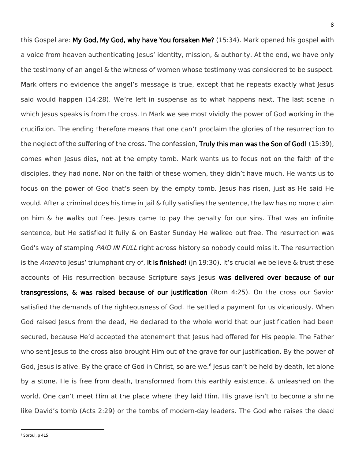this Gospel are: My God, My God, why have You forsaken Me? (15:34). Mark opened his gospel with a voice from heaven authenticating Jesus' identity, mission, & authority. At the end, we have only the testimony of an angel & the witness of women whose testimony was considered to be suspect. Mark offers no evidence the angel's message is true, except that he repeats exactly what Jesus said would happen (14:28). We're left in suspense as to what happens next. The last scene in which Jesus speaks is from the cross. In Mark we see most vividly the power of God working in the crucifixion. The ending therefore means that one can't proclaim the glories of the resurrection to the neglect of the suffering of the cross. The confession, Truly this man was the Son of God! (15:39), comes when Jesus dies, not at the empty tomb. Mark wants us to focus not on the faith of the disciples, they had none. Nor on the faith of these women, they didn't have much. He wants us to focus on the power of God that's seen by the empty tomb. Jesus has risen, just as He said He would. After a criminal does his time in jail & fully satisfies the sentence, the law has no more claim on him  $\&$  he walks out free. Jesus came to pay the penalty for our sins. That was an infinite sentence, but He satisfied it fully & on Easter Sunday He walked out free. The resurrection was God's way of stamping *PAID IN FULL* right across history so nobody could miss it. The resurrection is the Amen to Jesus' triumphant cry of, It is finished! (Jn 19:30). It's crucial we believe & trust these accounts of His resurrection because Scripture says Jesus was delivered over because of our transgressions, & was raised because of our justification (Rom 4:25). On the cross our Savior satisfied the demands of the righteousness of God. He settled a payment for us vicariously. When God raised Jesus from the dead, He declared to the whole world that our justification had been secured, because He'd accepted the atonement that lesus had offered for His people. The Father who sent lesus to the cross also brought Him out of the grave for our justification. By the power of God, Jesus is alive. By the grace of God in Christ, so are we.<sup>6</sup> Jesus can't be held by death, let alone by a stone. He is free from death, transformed from this earthly existence, & unleashed on the world. One can't meet Him at the place where they laid Him. His grave isn't to become a shrine like David's tomb (Acts 2:29) or the tombs of modern-day leaders. The God who raises the dead

<sup>6</sup> Sproul, p 415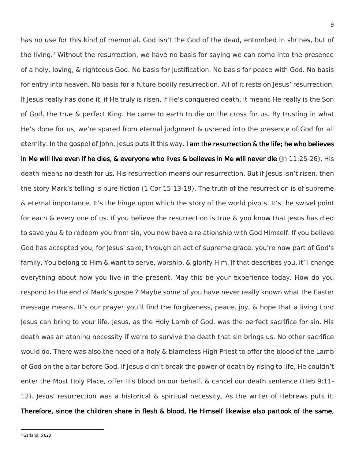has no use for this kind of memorial. God isn't the God of the dead, entombed in shrines, but of the living.<sup>7</sup> Without the resurrection, we have no basis for saying we can come into the presence of a holy, loving, & righteous God. No basis for justification. No basis for peace with God. No basis for entry into heaven. No basis for a future bodily resurrection. All of it rests on Jesus' resurrection. If Jesus really has done it, if He truly is risen, if He's conquered death, it means He really is the Son of God, the true & perfect King. He came to earth to die on the cross for us. By trusting in what He's done for us, we're spared from eternal judgment & ushered into the presence of God for all eternity. In the gospel of John, Jesus puts it this way. I am the resurrection & the life; he who believes in Me will live even if he dies, & everyone who lives & believes in Me will never die (Jn 11:25-26). His death means no death for us. His resurrection means our resurrection. But if Jesus isn't risen, then the story Mark's telling is pure fiction (1 Cor 15:13-19). The truth of the resurrection is of supreme & eternal importance. It's the hinge upon which the story of the world pivots. It's the swivel point for each & every one of us. If you believe the resurrection is true & you know that Jesus has died to save you & to redeem you from sin, you now have a relationship with God Himself. If you believe God has accepted you, for Jesus' sake, through an act of supreme grace, you're now part of God's family. You belong to Him & want to serve, worship, & glorify Him. If that describes you, it'll change everything about how you live in the present. May this be your experience today. How do you respond to the end of Mark's gospel? Maybe some of you have never really known what the Easter message means. It's our prayer you'll find the forgiveness, peace, joy, & hope that a living Lord Jesus can bring to your life. Jesus, as the Holy Lamb of God, was the perfect sacrifice for sin. His death was an atoning necessity if we're to survive the death that sin brings us. No other sacrifice would do. There was also the need of a holy & blameless High Priest to offer the blood of the Lamb of God on the altar before God. If Jesus didn't break the power of death by rising to life, He couldn't enter the Most Holy Place, offer His blood on our behalf, & cancel our death sentence (Heb 9:11- 12). Jesus' resurrection was a historical & spiritual necessity. As the writer of Hebrews puts it: Therefore, since the children share in flesh & blood, He Himself likewise also partook of the same,

<sup>7</sup> Garland, p 623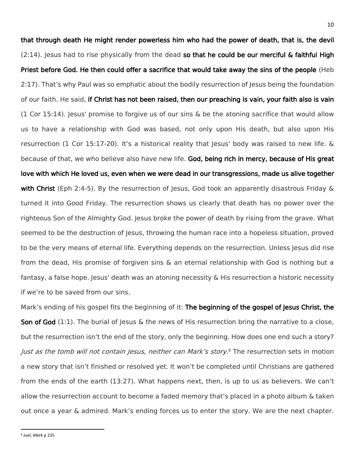that through death He might render powerless him who had the power of death, that is, the devil (2:14). Jesus had to rise physically from the dead so that he could be our merciful & faithful High Priest before God. He then could offer a sacrifice that would take away the sins of the people (Heb 2:17). That's why Paul was so emphatic about the bodily resurrection of Jesus being the foundation of our faith. He said, if Christ has not been raised, then our preaching is vain, your faith also is vain  $(1$  Cor 15:14). Jesus' promise to forgive us of our sins & be the atoning sacrifice that would allow us to have a relationship with God was based, not only upon His death, but also upon His resurrection (1 Cor 15:17-20). It's a historical reality that lesus' body was raised to new life. & because of that, we who believe also have new life. God, being rich in mercy, because of His great love with which He loved us, even when we were dead in our transgressions, made us alive together with Christ (Eph 2:4-5). By the resurrection of Jesus, God took an apparently disastrous Friday & turned it into Good Friday. The resurrection shows us clearly that death has no power over the righteous Son of the Almighty God. Jesus broke the power of death by rising from the grave. What seemed to be the destruction of Jesus, throwing the human race into a hopeless situation, proved to be the very means of eternal life. Everything depends on the resurrection. Unless Jesus did rise from the dead, His promise of forgiven sins & an eternal relationship with God is nothing but a fantasy, a false hope. Jesus' death was an atoning necessity & His resurrection a historic necessity if we're to be saved from our sins.

Mark's ending of his gospel fits the beginning of it: The beginning of the gospel of Jesus Christ, the Son of God  $(1:1)$ . The burial of Jesus & the news of His resurrection bring the narrative to a close, but the resurrection isn't the end of the story, only the beginning. How does one end such a story? Just as the tomb will not contain Jesus, neither can Mark's story.<sup>8</sup> The resurrection sets in motion a new story that isn't finished or resolved yet. It won't be completed until Christians are gathered from the ends of the earth (13:27). What happens next, then, is up to us as believers. We can't allow the resurrection account to become a faded memory that's placed in a photo album & taken out once a year & admired. Mark's ending forces us to enter the story. We are the next chapter.

8 Juel, *Mark* p 235